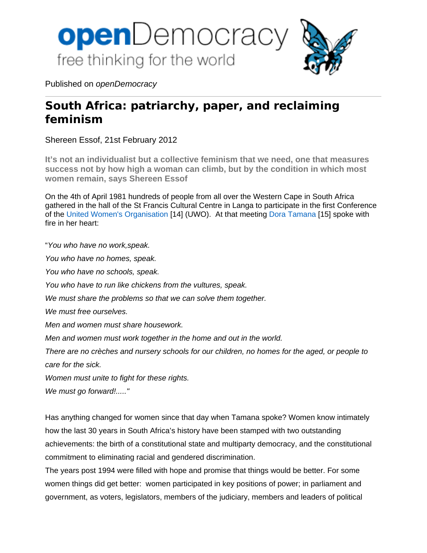

Published on *openDemocracy*

## **South Africa: patriarchy, paper, and reclaiming feminism**

Shereen Essof, 21st February 2012

**It's not an individualist but a collective feminism that we need, one that measures success not by how high a woman can climb, but by the condition in which most women remain, says Shereen Essof** 

On the 4th of April 1981 hundreds of people from all over the Western Cape in South Africa gathered in the hall of the St Francis Cultural Centre in Langa to participate in the first Conference of the United Women's Organisation [14] (UWO). At that meeting Dora Tamana [15] spoke with fire in her heart:

"*You who have no work,speak. You who have no homes, speak. You who have no schools, speak. You who have to run like chickens from the vultures, speak. We must share the problems so that we can solve them together. We must free ourselves. Men and women must share housework. Men and women must work together in the home and out in the world. There are no crèches and nursery schools for our children, no homes for the aged, or people to care for the sick. Women must unite to fight for these rights. We must go forward!....."*

Has anything changed for women since that day when Tamana spoke? Women know intimately how the last 30 years in South Africa's history have been stamped with two outstanding achievements: the birth of a constitutional state and multiparty democracy, and the constitutional commitment to eliminating racial and gendered discrimination.

The years post 1994 were filled with hope and promise that things would be better. For some women things did get better: women participated in key positions of power; in parliament and government, as voters, legislators, members of the judiciary, members and leaders of political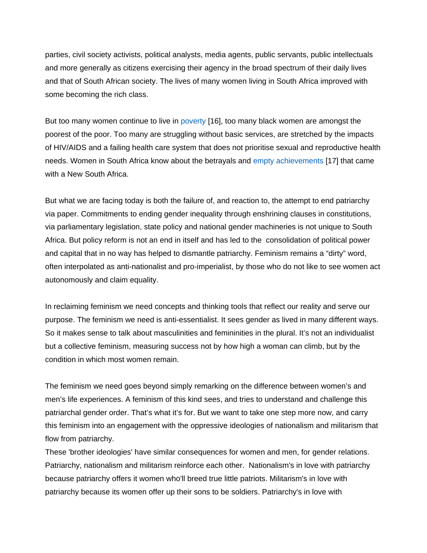parties, civil society activists, political analysts, media agents, public servants, public intellectuals and more generally as citizens exercising their agency in the broad spectrum of their daily lives and that of South African society. The lives of many women living in South Africa improved with some becoming the rich class.

But too many women continue to live in poverty [16], too many black women are amongst the poorest of the poor. Too many are struggling without basic services, are stretched by the impacts of HIV/AIDS and a failing health care system that does not prioritise sexual and reproductive health needs. Women in South Africa know about the betrayals and empty achievements [17] that came with a New South Africa.

But what we are facing today is both the failure of, and reaction to, the attempt to end patriarchy via paper. Commitments to ending gender inequality through enshrining clauses in constitutions, via parliamentary legislation, state policy and national gender machineries is not unique to South Africa. But policy reform is not an end in itself and has led to the consolidation of political power and capital that in no way has helped to dismantle patriarchy. Feminism remains a "dirty" word, often interpolated as anti-nationalist and pro-imperialist, by those who do not like to see women act autonomously and claim equality.

In reclaiming feminism we need concepts and thinking tools that reflect our reality and serve our purpose. The feminism we need is anti-essentialist. It sees gender as lived in many different ways. So it makes sense to talk about masculinities and femininities in the plural. It's not an individualist but a collective feminism, measuring success not by how high a woman can climb, but by the condition in which most women remain.

The feminism we need goes beyond simply remarking on the difference between women's and men's life experiences. A feminism of this kind sees, and tries to understand and challenge this patriarchal gender order. That's what it's for. But we want to take one step more now, and carry this feminism into an engagement with the oppressive ideologies of nationalism and militarism that flow from patriarchy.

These 'brother ideologies' have similar consequences for women and men, for gender relations. Patriarchy, nationalism and militarism reinforce each other. Nationalism's in love with patriarchy because patriarchy offers it women who'll breed true little patriots. Militarism's in love with patriarchy because its women offer up their sons to be soldiers. Patriarchy's in love with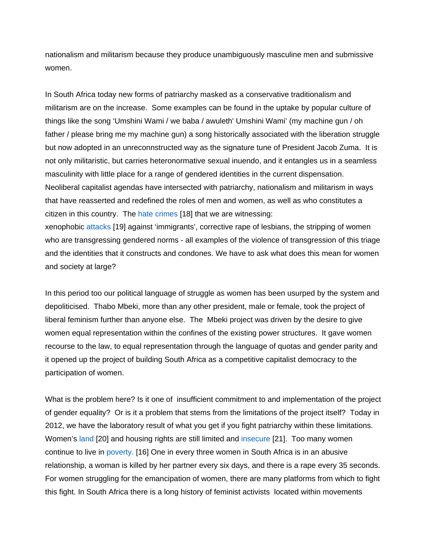nationalism and militarism because they produce unambiguously masculine men and submissive women.

In South Africa today new forms of patriarchy masked as a conservative traditionalism and militarism are on the increase. Some examples can be found in the uptake by popular culture of things like the song 'Umshini Wami / we baba / awuleth' Umshini Wami' (my machine gun / oh father / please bring me my machine gun) a song historically associated with the liberation struggle but now adopted in an unreconnstructed way as the signature tune of President Jacob Zuma. It is not only militaristic, but carries heteronormative sexual inuendo, and it entangles us in a seamless masculinity with little place for a range of gendered identities in the current dispensation. Neoliberal capitalist agendas have intersected with patriarchy, nationalism and militarism in ways that have reasserted and redefined the roles of men and women, as well as who constitutes a citizen in this country. The hate crimes [18] that we are witnessing: xenophobic attacks [19] against 'immigrants', corrective rape of lesbians, the stripping of women who are transgressing gendered norms - all examples of the violence of transgression of this triage and the identities that it constructs and condones. We have to ask what does this mean for women

In this period too our political language of struggle as women has been usurped by the system and depoliticised. Thabo Mbeki, more than any other president, male or female, took the project of liberal feminism further than anyone else. The Mbeki project was driven by the desire to give women equal representation within the confines of the existing power structures. It gave women recourse to the law, to equal representation through the language of quotas and gender parity and it opened up the project of building South Africa as a competitive capitalist democracy to the participation of women.

and society at large?

What is the problem here? Is it one of insufficient commitment to and implementation of the project of gender equality? Or is it a problem that stems from the limitations of the project itself? Today in 2012, we have the laboratory result of what you get if you fight patriarchy within these limitations. Women's land [20] and housing rights are still limited and insecure [21]. Too many women continue to live in poverty. [16] One in every three women in South Africa is in an abusive relationship, a woman is killed by her partner every six days, and there is a rape every 35 seconds. For women struggling for the emancipation of women, there are many platforms from which to fight this fight. In South Africa there is a long history of feminist activists located within movements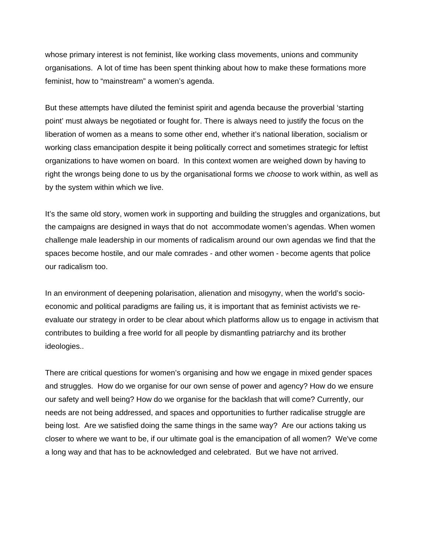whose primary interest is not feminist, like working class movements, unions and community organisations. A lot of time has been spent thinking about how to make these formations more feminist, how to "mainstream" a women's agenda.

But these attempts have diluted the feminist spirit and agenda because the proverbial 'starting point' must always be negotiated or fought for. There is always need to justify the focus on the liberation of women as a means to some other end, whether it's national liberation, socialism or working class emancipation despite it being politically correct and sometimes strategic for leftist organizations to have women on board. In this context women are weighed down by having to right the wrongs being done to us by the organisational forms we *choose* to work within, as well as by the system within which we live.

It's the same old story, women work in supporting and building the struggles and organizations, but the campaigns are designed in ways that do not accommodate women's agendas. When women challenge male leadership in our moments of radicalism around our own agendas we find that the spaces become hostile, and our male comrades - and other women - become agents that police our radicalism too.

In an environment of deepening polarisation, alienation and misogyny, when the world's socioeconomic and political paradigms are failing us, it is important that as feminist activists we reevaluate our strategy in order to be clear about which platforms allow us to engage in activism that contributes to building a free world for all people by dismantling patriarchy and its brother ideologies..

There are critical questions for women's organising and how we engage in mixed gender spaces and struggles. How do we organise for our own sense of power and agency? How do we ensure our safety and well being? How do we organise for the backlash that will come? Currently, our needs are not being addressed, and spaces and opportunities to further radicalise struggle are being lost. Are we satisfied doing the same things in the same way? Are our actions taking us closer to where we want to be, if our ultimate goal is the emancipation of all women? We've come a long way and that has to be acknowledged and celebrated. But we have not arrived.